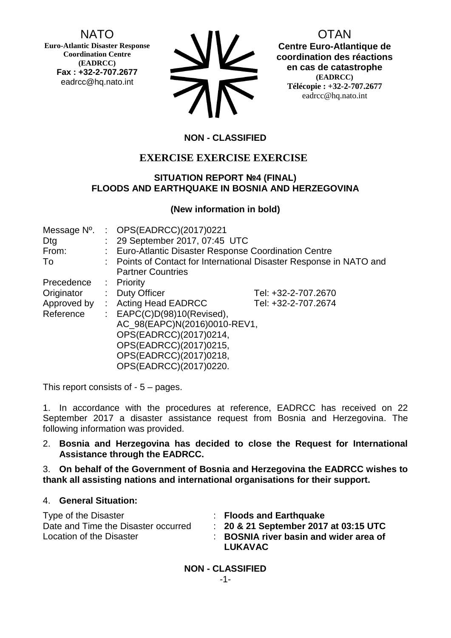NATO

**Euro-Atlantic Disaster Response Coordination Centre (EADRCC) Fax : +32-2-707.2677** eadrcc@hq.nato.int

| <b>NV</b>  |
|------------|
| <b>TIL</b> |

OTAN

**Centre Euro-Atlantique de coordination des réactions en cas de catastrophe (EADRCC) Télécopie : +32-2-707.2677** eadrcc@hq.nato.int

# **NON - CLASSIFIED**

# **EXERCISE EXERCISE EXERCISE**

## **SITUATION REPORT №4 (FINAL) FLOODS AND EARTHQUAKE IN BOSNIA AND HERZEGOVINA**

## **(New information in bold)**

| Message N°. | : OPS(EADRCC)(2017)0221                               |                                                                     |  |
|-------------|-------------------------------------------------------|---------------------------------------------------------------------|--|
| Dtg         | : 29 September 2017, 07:45 UTC                        |                                                                     |  |
| From:       | : Euro-Atlantic Disaster Response Coordination Centre |                                                                     |  |
| To          |                                                       | : Points of Contact for International Disaster Response in NATO and |  |
|             | <b>Partner Countries</b>                              |                                                                     |  |
| Precedence  | $:$ Priority                                          |                                                                     |  |
| Originator  | : Duty Officer                                        | Tel: +32-2-707.2670                                                 |  |
| Approved by | : Acting Head EADRCC                                  | Tel: +32-2-707.2674                                                 |  |
| Reference   | : $EAPC(C)D(98)10(Revised),$                          |                                                                     |  |
|             | AC_98(EAPC)N(2016)0010-REV1,                          |                                                                     |  |
|             | OPS(EADRCC)(2017)0214,                                |                                                                     |  |
|             | OPS(EADRCC)(2017)0215,                                |                                                                     |  |
|             | OPS(EADRCC)(2017)0218,                                |                                                                     |  |
|             | OPS(EADRCC)(2017)0220.                                |                                                                     |  |

This report consists of - 5 – pages.

1. In accordance with the procedures at reference, EADRCC has received on 22 September 2017 a disaster assistance request from Bosnia and Herzegovina. The following information was provided.

2. **Bosnia and Herzegovina has decided to close the Request for International Assistance through the EADRCC.**

3. **On behalf of the Government of Bosnia and Herzegovina the EADRCC wishes to thank all assisting nations and international organisations for their support.** 

## 4. **General Situation:**

| Type of the Disaster                | $\therefore$ Floods and Earthquake               |
|-------------------------------------|--------------------------------------------------|
| Date and Time the Disaster occurred | $\therefore$ 20 & 21 September 2017 at 03:15 UTC |
| Location of the Disaster            | : BOSNIA river basin and wider area of           |
|                                     | <b>LUKAVAC</b>                                   |

**NON - CLASSIFIED** -1-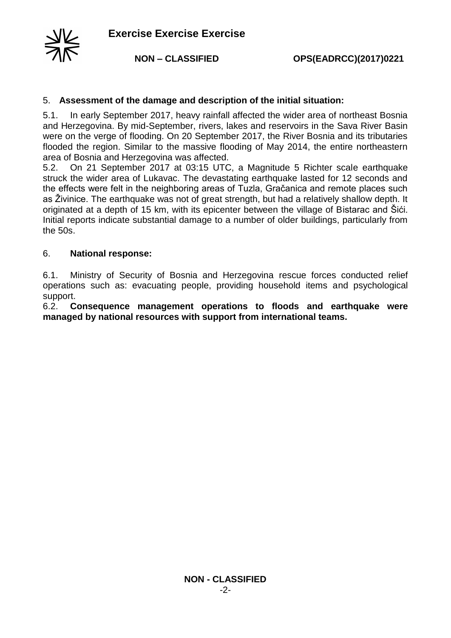

### 5. **Assessment of the damage and description of the initial situation:**

5.1. In early September 2017, heavy rainfall affected the wider area of northeast Bosnia and Herzegovina. By mid-September, rivers, lakes and reservoirs in the Sava River Basin were on the verge of flooding. On 20 September 2017, the River Bosnia and its tributaries flooded the region. Similar to the massive flooding of May 2014, the entire northeastern area of Bosnia and Herzegovina was affected.

5.2. On 21 September 2017 at 03:15 UTC, a Magnitude 5 Richter scale earthquake struck the wider area of Lukavac. The devastating earthquake lasted for 12 seconds and the effects were felt in the neighboring areas of Tuzla, Gračanica and remote places such as Živinice. The earthquake was not of great strength, but had a relatively shallow depth. It originated at a depth of 15 km, with its epicenter between the village of Bistarac and Šići. Initial reports indicate substantial damage to a number of older buildings, particularly from the 50s.

#### 6. **National response:**

6.1. Ministry of Security of Bosnia and Herzegovina rescue forces conducted relief operations such as: evacuating people, providing household items and psychological support.

6.2. **Consequence management operations to floods and earthquake were managed by national resources with support from international teams.**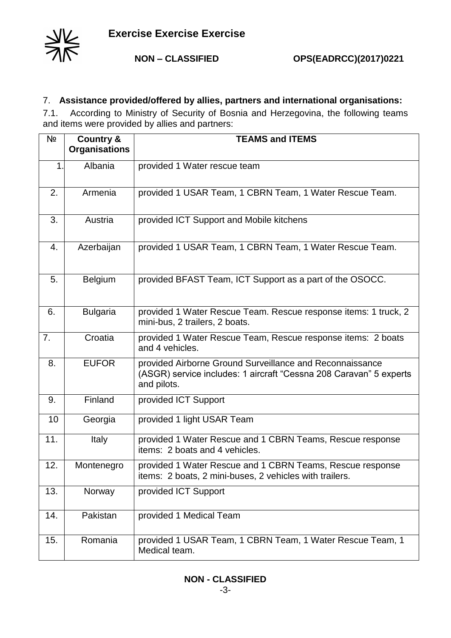

## 7. **Assistance provided/offered by allies, partners and international organisations:**

7.1. According to Ministry of Security of Bosnia and Herzegovina, the following teams and items were provided by allies and partners:

| Nº  | <b>Country &amp;</b><br><b>Organisations</b> | <b>TEAMS and ITEMS</b>                                                                                                                        |  |
|-----|----------------------------------------------|-----------------------------------------------------------------------------------------------------------------------------------------------|--|
| 1.  | Albania                                      | provided 1 Water rescue team                                                                                                                  |  |
| 2.  | Armenia                                      | provided 1 USAR Team, 1 CBRN Team, 1 Water Rescue Team.                                                                                       |  |
| 3.  | Austria                                      | provided ICT Support and Mobile kitchens                                                                                                      |  |
| 4.  | Azerbaijan                                   | provided 1 USAR Team, 1 CBRN Team, 1 Water Rescue Team.                                                                                       |  |
| 5.  | <b>Belgium</b>                               | provided BFAST Team, ICT Support as a part of the OSOCC.                                                                                      |  |
| 6.  | <b>Bulgaria</b>                              | provided 1 Water Rescue Team. Rescue response items: 1 truck, 2<br>mini-bus, 2 trailers, 2 boats.                                             |  |
| 7.  | Croatia                                      | provided 1 Water Rescue Team, Rescue response items: 2 boats<br>and 4 vehicles.                                                               |  |
| 8.  | <b>EUFOR</b>                                 | provided Airborne Ground Surveillance and Reconnaissance<br>(ASGR) service includes: 1 aircraft "Cessna 208 Caravan" 5 experts<br>and pilots. |  |
| 9.  | Finland                                      | provided ICT Support                                                                                                                          |  |
| 10  | Georgia                                      | provided 1 light USAR Team                                                                                                                    |  |
| 11. | Italy                                        | provided 1 Water Rescue and 1 CBRN Teams, Rescue response<br>items: 2 boats and 4 vehicles.                                                   |  |
| 12. | Montenegro                                   | provided 1 Water Rescue and 1 CBRN Teams, Rescue response<br>items: 2 boats, 2 mini-buses, 2 vehicles with trailers.                          |  |
| 13. | Norway                                       | provided ICT Support                                                                                                                          |  |
| 14. | Pakistan                                     | provided 1 Medical Team                                                                                                                       |  |
| 15. | Romania                                      | provided 1 USAR Team, 1 CBRN Team, 1 Water Rescue Team, 1<br>Medical team.                                                                    |  |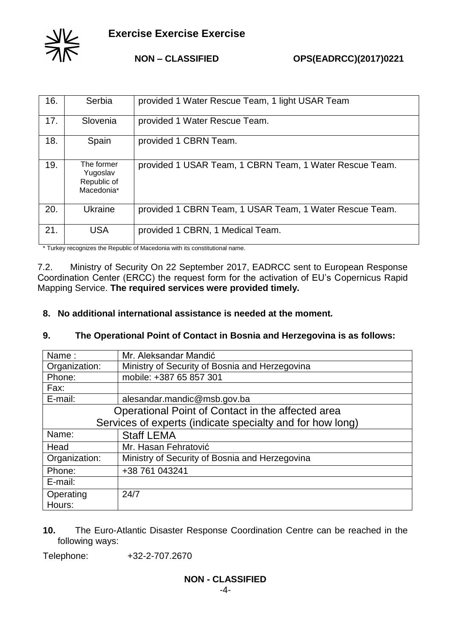

**NON – CLASSIFIED OPS(EADRCC)(2017)0221**

| 16. | Serbia                                              | provided 1 Water Rescue Team, 1 light USAR Team         |
|-----|-----------------------------------------------------|---------------------------------------------------------|
| 17. | Slovenia                                            | provided 1 Water Rescue Team.                           |
| 18. | Spain                                               | provided 1 CBRN Team.                                   |
| 19. | The former<br>Yugoslav<br>Republic of<br>Macedonia* | provided 1 USAR Team, 1 CBRN Team, 1 Water Rescue Team. |
| 20. | Ukraine                                             | provided 1 CBRN Team, 1 USAR Team, 1 Water Rescue Team. |
| 21. | <b>USA</b>                                          | provided 1 CBRN, 1 Medical Team.                        |

\* Turkey recognizes the Republic of Macedonia with its constitutional name.

7.2. Ministry of Security On 22 September 2017, EADRCC sent to European Response Coordination Center (ERCC) the request form for the activation of EU's Copernicus Rapid Mapping Service. **The required services were provided timely.**

**8. No additional international assistance is needed at the moment.**

## **9. The Operational Point of Contact in Bosnia and Herzegovina is as follows:**

| Name:                                                     | Mr. Aleksandar Mandić                          |  |
|-----------------------------------------------------------|------------------------------------------------|--|
| Organization:                                             | Ministry of Security of Bosnia and Herzegovina |  |
| Phone:                                                    | mobile: +387 65 857 301                        |  |
| Fax:                                                      |                                                |  |
| E-mail:                                                   | alesandar.mandic@msb.gov.ba                    |  |
| Operational Point of Contact in the affected area         |                                                |  |
| Services of experts (indicate specialty and for how long) |                                                |  |
| Name:                                                     | <b>Staff LEMA</b>                              |  |
| Head                                                      | Mr. Hasan Fehratović                           |  |
| Organization:                                             | Ministry of Security of Bosnia and Herzegovina |  |
| Phone:                                                    | +38 761 043241                                 |  |
| E-mail:                                                   |                                                |  |
| Operating                                                 | 24/7                                           |  |
| Hours:                                                    |                                                |  |

**10.** The Euro-Atlantic Disaster Response Coordination Centre can be reached in the following ways:

Telephone: +32-2-707.2670